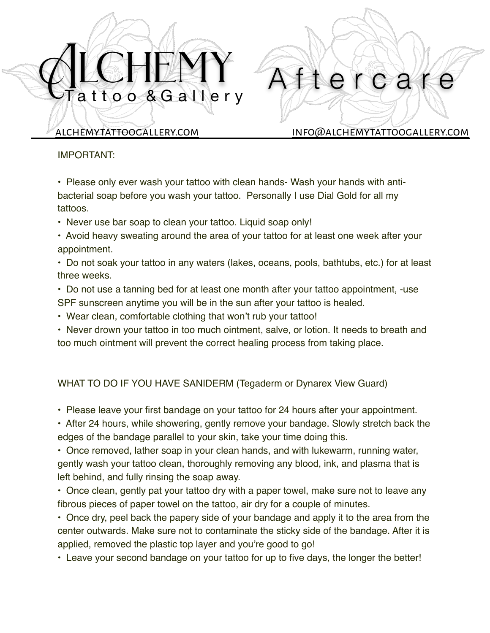# attoo & Gallery

[alchemytattoogallery.com](http://alchemytattoogallery.com) [info@alchemytattoogallery.com](mailto:info@alchemytattoogallery.com)

erca

## IMPORTANT:

• Please only ever wash your tattoo with clean hands- Wash your hands with antibacterial soap before you wash your tattoo. Personally I use Dial Gold for all my tattoos.

- Never use bar soap to clean your tattoo. Liquid soap only!
- Avoid heavy sweating around the area of your tattoo for at least one week after your appointment.
- Do not soak your tattoo in any waters (lakes, oceans, pools, bathtubs, etc.) for at least three weeks.
- Do not use a tanning bed for at least one month after your tattoo appointment, -use SPF sunscreen anytime you will be in the sun after your tattoo is healed.
- Wear clean, comfortable clothing that won't rub your tattoo!
- Never drown your tattoo in too much ointment, salve, or lotion. It needs to breath and too much ointment will prevent the correct healing process from taking place.

# WHAT TO DO IF YOU HAVE SANIDERM (Tegaderm or Dynarex View Guard)

- Please leave your first bandage on your tattoo for 24 hours after your appointment.
- After 24 hours, while showering, gently remove your bandage. Slowly stretch back the edges of the bandage parallel to your skin, take your time doing this.
- Once removed, lather soap in your clean hands, and with lukewarm, running water, gently wash your tattoo clean, thoroughly removing any blood, ink, and plasma that is left behind, and fully rinsing the soap away.
- Once clean, gently pat your tattoo dry with a paper towel, make sure not to leave any fibrous pieces of paper towel on the tattoo, air dry for a couple of minutes.
- Once dry, peel back the papery side of your bandage and apply it to the area from the center outwards. Make sure not to contaminate the sticky side of the bandage. After it is applied, removed the plastic top layer and you're good to go!
- Leave your second bandage on your tattoo for up to five days, the longer the better!